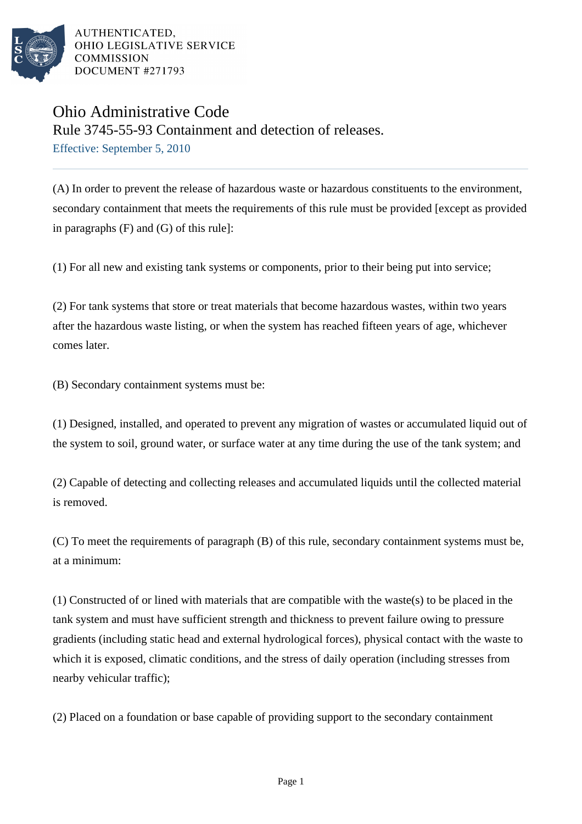

## Ohio Administrative Code

Rule 3745-55-93 Containment and detection of releases.

Effective: September 5, 2010

(A) In order to prevent the release of hazardous waste or hazardous constituents to the environment, secondary containment that meets the requirements of this rule must be provided [except as provided in paragraphs (F) and (G) of this rule]:

(1) For all new and existing tank systems or components, prior to their being put into service;

(2) For tank systems that store or treat materials that become hazardous wastes, within two years after the hazardous waste listing, or when the system has reached fifteen years of age, whichever comes later.

(B) Secondary containment systems must be:

(1) Designed, installed, and operated to prevent any migration of wastes or accumulated liquid out of the system to soil, ground water, or surface water at any time during the use of the tank system; and

(2) Capable of detecting and collecting releases and accumulated liquids until the collected material is removed.

(C) To meet the requirements of paragraph (B) of this rule, secondary containment systems must be, at a minimum:

(1) Constructed of or lined with materials that are compatible with the waste(s) to be placed in the tank system and must have sufficient strength and thickness to prevent failure owing to pressure gradients (including static head and external hydrological forces), physical contact with the waste to which it is exposed, climatic conditions, and the stress of daily operation (including stresses from nearby vehicular traffic);

(2) Placed on a foundation or base capable of providing support to the secondary containment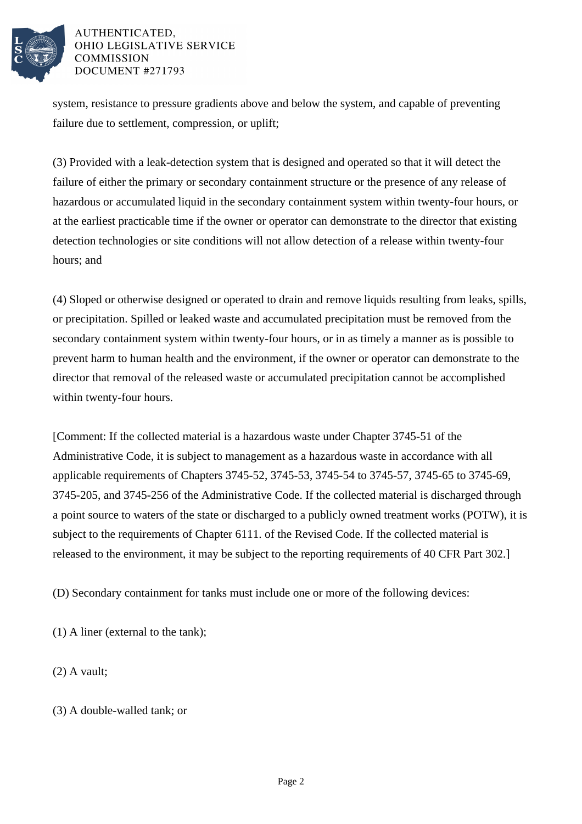

system, resistance to pressure gradients above and below the system, and capable of preventing failure due to settlement, compression, or uplift;

(3) Provided with a leak-detection system that is designed and operated so that it will detect the failure of either the primary or secondary containment structure or the presence of any release of hazardous or accumulated liquid in the secondary containment system within twenty-four hours, or at the earliest practicable time if the owner or operator can demonstrate to the director that existing detection technologies or site conditions will not allow detection of a release within twenty-four hours; and

(4) Sloped or otherwise designed or operated to drain and remove liquids resulting from leaks, spills, or precipitation. Spilled or leaked waste and accumulated precipitation must be removed from the secondary containment system within twenty-four hours, or in as timely a manner as is possible to prevent harm to human health and the environment, if the owner or operator can demonstrate to the director that removal of the released waste or accumulated precipitation cannot be accomplished within twenty-four hours.

[Comment: If the collected material is a hazardous waste under Chapter 3745-51 of the Administrative Code, it is subject to management as a hazardous waste in accordance with all applicable requirements of Chapters 3745-52, 3745-53, 3745-54 to 3745-57, 3745-65 to 3745-69, 3745-205, and 3745-256 of the Administrative Code. If the collected material is discharged through a point source to waters of the state or discharged to a publicly owned treatment works (POTW), it is subject to the requirements of Chapter 6111. of the Revised Code. If the collected material is released to the environment, it may be subject to the reporting requirements of 40 CFR Part 302.]

(D) Secondary containment for tanks must include one or more of the following devices:

(1) A liner (external to the tank);

(2) A vault;

(3) A double-walled tank; or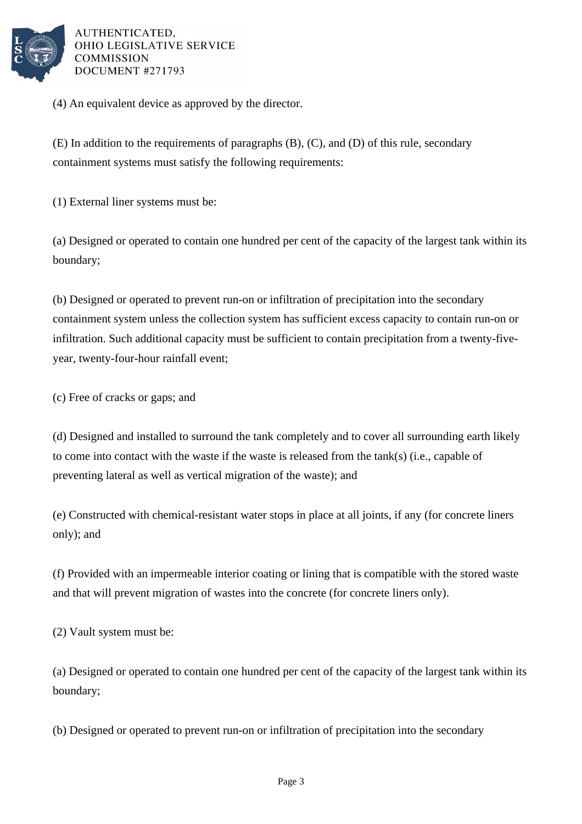

(4) An equivalent device as approved by the director.

(E) In addition to the requirements of paragraphs (B), (C), and (D) of this rule, secondary containment systems must satisfy the following requirements:

(1) External liner systems must be:

(a) Designed or operated to contain one hundred per cent of the capacity of the largest tank within its boundary;

(b) Designed or operated to prevent run-on or infiltration of precipitation into the secondary containment system unless the collection system has sufficient excess capacity to contain run-on or infiltration. Such additional capacity must be sufficient to contain precipitation from a twenty-fiveyear, twenty-four-hour rainfall event;

(c) Free of cracks or gaps; and

(d) Designed and installed to surround the tank completely and to cover all surrounding earth likely to come into contact with the waste if the waste is released from the tank(s) (i.e., capable of preventing lateral as well as vertical migration of the waste); and

(e) Constructed with chemical-resistant water stops in place at all joints, if any (for concrete liners only); and

(f) Provided with an impermeable interior coating or lining that is compatible with the stored waste and that will prevent migration of wastes into the concrete (for concrete liners only).

(2) Vault system must be:

(a) Designed or operated to contain one hundred per cent of the capacity of the largest tank within its boundary;

(b) Designed or operated to prevent run-on or infiltration of precipitation into the secondary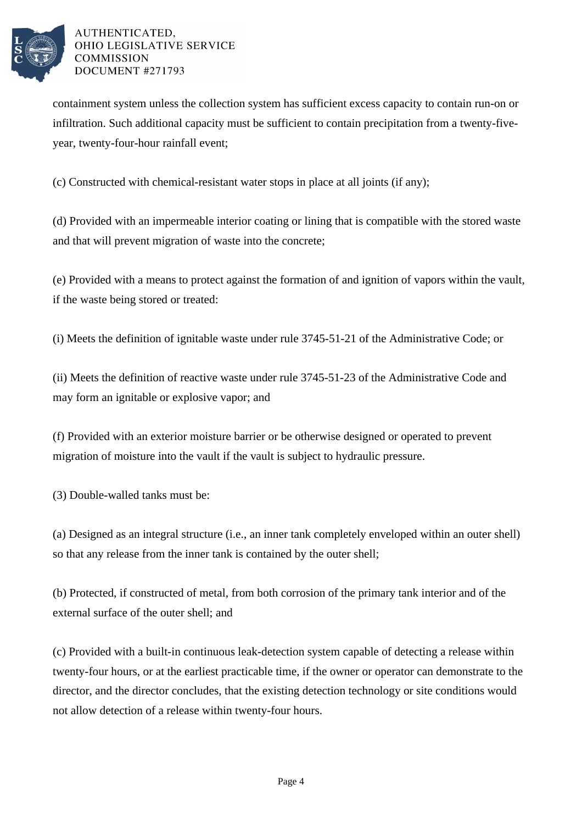

containment system unless the collection system has sufficient excess capacity to contain run-on or infiltration. Such additional capacity must be sufficient to contain precipitation from a twenty-fiveyear, twenty-four-hour rainfall event;

(c) Constructed with chemical-resistant water stops in place at all joints (if any);

(d) Provided with an impermeable interior coating or lining that is compatible with the stored waste and that will prevent migration of waste into the concrete;

(e) Provided with a means to protect against the formation of and ignition of vapors within the vault, if the waste being stored or treated:

(i) Meets the definition of ignitable waste under rule 3745-51-21 of the Administrative Code; or

(ii) Meets the definition of reactive waste under rule 3745-51-23 of the Administrative Code and may form an ignitable or explosive vapor; and

(f) Provided with an exterior moisture barrier or be otherwise designed or operated to prevent migration of moisture into the vault if the vault is subject to hydraulic pressure.

(3) Double-walled tanks must be:

(a) Designed as an integral structure (i.e., an inner tank completely enveloped within an outer shell) so that any release from the inner tank is contained by the outer shell;

(b) Protected, if constructed of metal, from both corrosion of the primary tank interior and of the external surface of the outer shell; and

(c) Provided with a built-in continuous leak-detection system capable of detecting a release within twenty-four hours, or at the earliest practicable time, if the owner or operator can demonstrate to the director, and the director concludes, that the existing detection technology or site conditions would not allow detection of a release within twenty-four hours.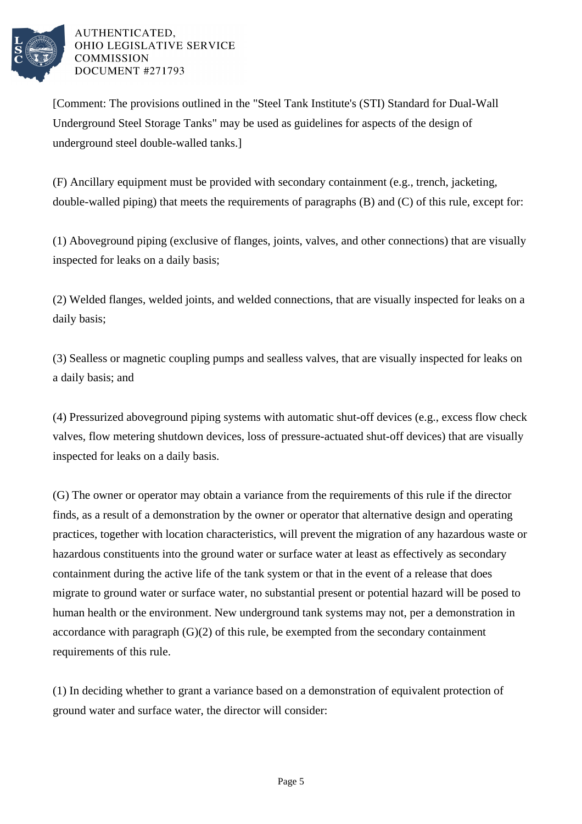

[Comment: The provisions outlined in the "Steel Tank Institute's (STI) Standard for Dual-Wall Underground Steel Storage Tanks" may be used as guidelines for aspects of the design of underground steel double-walled tanks.]

(F) Ancillary equipment must be provided with secondary containment (e.g., trench, jacketing, double-walled piping) that meets the requirements of paragraphs (B) and (C) of this rule, except for:

(1) Aboveground piping (exclusive of flanges, joints, valves, and other connections) that are visually inspected for leaks on a daily basis;

(2) Welded flanges, welded joints, and welded connections, that are visually inspected for leaks on a daily basis;

(3) Sealless or magnetic coupling pumps and sealless valves, that are visually inspected for leaks on a daily basis; and

(4) Pressurized aboveground piping systems with automatic shut-off devices (e.g., excess flow check valves, flow metering shutdown devices, loss of pressure-actuated shut-off devices) that are visually inspected for leaks on a daily basis.

(G) The owner or operator may obtain a variance from the requirements of this rule if the director finds, as a result of a demonstration by the owner or operator that alternative design and operating practices, together with location characteristics, will prevent the migration of any hazardous waste or hazardous constituents into the ground water or surface water at least as effectively as secondary containment during the active life of the tank system or that in the event of a release that does migrate to ground water or surface water, no substantial present or potential hazard will be posed to human health or the environment. New underground tank systems may not, per a demonstration in accordance with paragraph (G)(2) of this rule, be exempted from the secondary containment requirements of this rule.

(1) In deciding whether to grant a variance based on a demonstration of equivalent protection of ground water and surface water, the director will consider: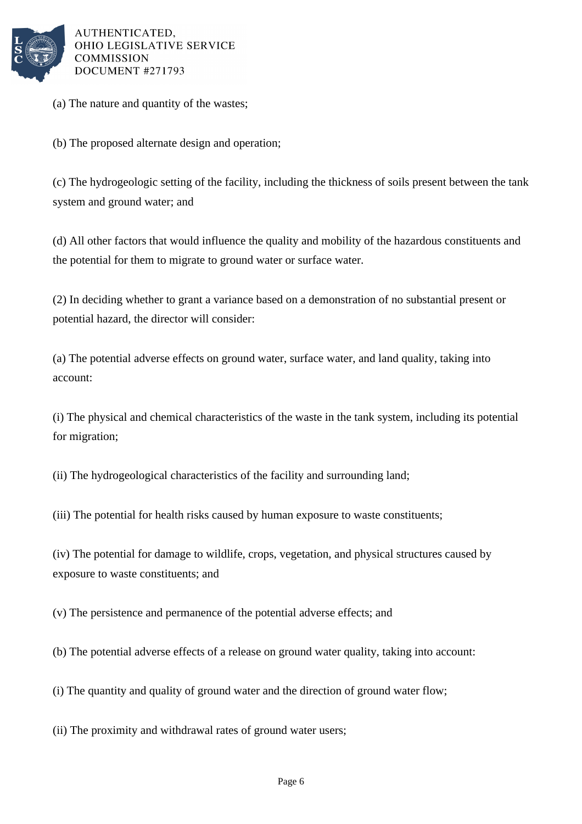

(a) The nature and quantity of the wastes;

(b) The proposed alternate design and operation;

(c) The hydrogeologic setting of the facility, including the thickness of soils present between the tank system and ground water; and

(d) All other factors that would influence the quality and mobility of the hazardous constituents and the potential for them to migrate to ground water or surface water.

(2) In deciding whether to grant a variance based on a demonstration of no substantial present or potential hazard, the director will consider:

(a) The potential adverse effects on ground water, surface water, and land quality, taking into account:

(i) The physical and chemical characteristics of the waste in the tank system, including its potential for migration;

(ii) The hydrogeological characteristics of the facility and surrounding land;

(iii) The potential for health risks caused by human exposure to waste constituents;

(iv) The potential for damage to wildlife, crops, vegetation, and physical structures caused by exposure to waste constituents; and

(v) The persistence and permanence of the potential adverse effects; and

(b) The potential adverse effects of a release on ground water quality, taking into account:

(i) The quantity and quality of ground water and the direction of ground water flow;

(ii) The proximity and withdrawal rates of ground water users;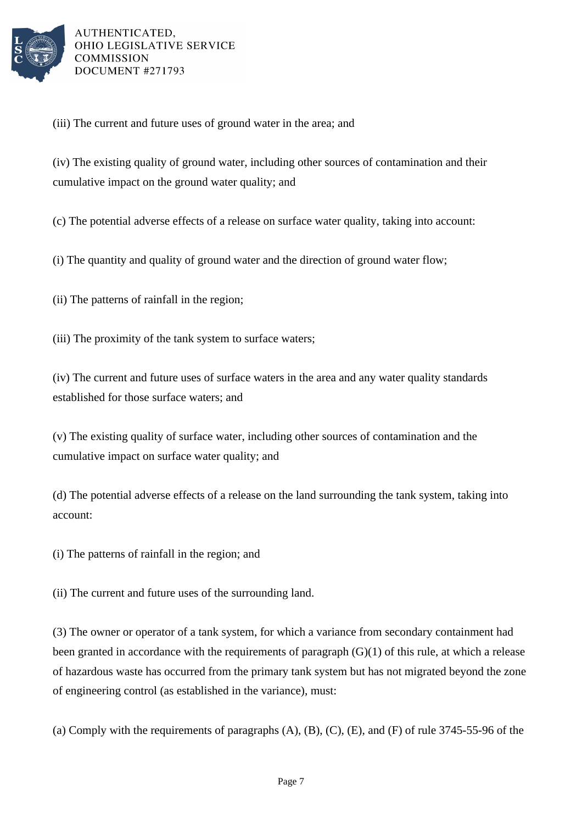

(iii) The current and future uses of ground water in the area; and

(iv) The existing quality of ground water, including other sources of contamination and their cumulative impact on the ground water quality; and

(c) The potential adverse effects of a release on surface water quality, taking into account:

(i) The quantity and quality of ground water and the direction of ground water flow;

(ii) The patterns of rainfall in the region;

(iii) The proximity of the tank system to surface waters;

(iv) The current and future uses of surface waters in the area and any water quality standards established for those surface waters; and

(v) The existing quality of surface water, including other sources of contamination and the cumulative impact on surface water quality; and

(d) The potential adverse effects of a release on the land surrounding the tank system, taking into account:

(i) The patterns of rainfall in the region; and

(ii) The current and future uses of the surrounding land.

(3) The owner or operator of a tank system, for which a variance from secondary containment had been granted in accordance with the requirements of paragraph (G)(1) of this rule, at which a release of hazardous waste has occurred from the primary tank system but has not migrated beyond the zone of engineering control (as established in the variance), must:

(a) Comply with the requirements of paragraphs  $(A)$ ,  $(B)$ ,  $(C)$ ,  $(E)$ , and  $(F)$  of rule 3745-55-96 of the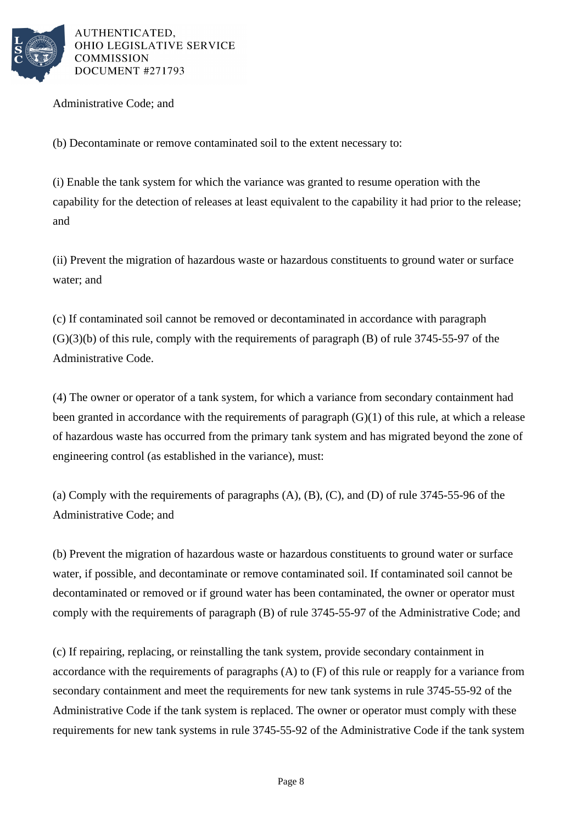

Administrative Code; and

(b) Decontaminate or remove contaminated soil to the extent necessary to:

(i) Enable the tank system for which the variance was granted to resume operation with the capability for the detection of releases at least equivalent to the capability it had prior to the release; and

(ii) Prevent the migration of hazardous waste or hazardous constituents to ground water or surface water; and

(c) If contaminated soil cannot be removed or decontaminated in accordance with paragraph  $(G)(3)(b)$  of this rule, comply with the requirements of paragraph  $(B)$  of rule 3745-55-97 of the Administrative Code.

(4) The owner or operator of a tank system, for which a variance from secondary containment had been granted in accordance with the requirements of paragraph (G)(1) of this rule, at which a release of hazardous waste has occurred from the primary tank system and has migrated beyond the zone of engineering control (as established in the variance), must:

(a) Comply with the requirements of paragraphs (A), (B), (C), and (D) of rule 3745-55-96 of the Administrative Code; and

(b) Prevent the migration of hazardous waste or hazardous constituents to ground water or surface water, if possible, and decontaminate or remove contaminated soil. If contaminated soil cannot be decontaminated or removed or if ground water has been contaminated, the owner or operator must comply with the requirements of paragraph (B) of rule 3745-55-97 of the Administrative Code; and

(c) If repairing, replacing, or reinstalling the tank system, provide secondary containment in accordance with the requirements of paragraphs (A) to (F) of this rule or reapply for a variance from secondary containment and meet the requirements for new tank systems in rule 3745-55-92 of the Administrative Code if the tank system is replaced. The owner or operator must comply with these requirements for new tank systems in rule 3745-55-92 of the Administrative Code if the tank system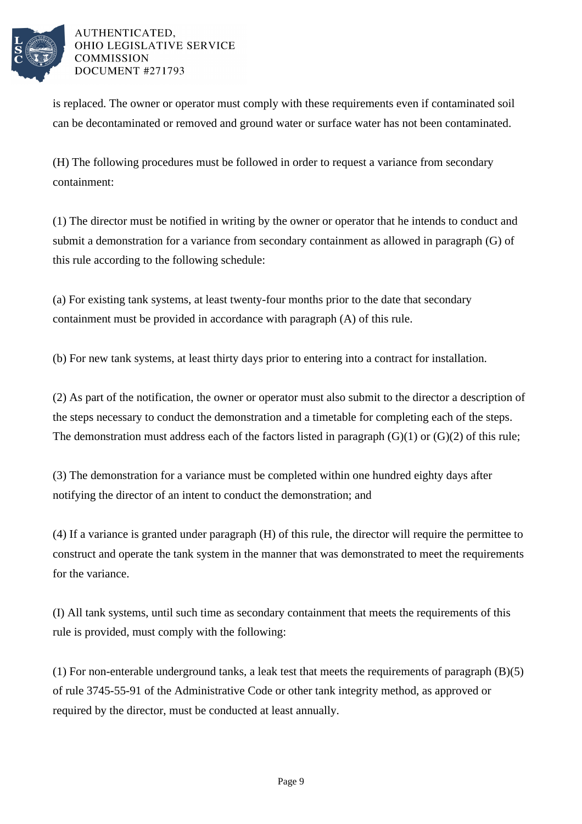

is replaced. The owner or operator must comply with these requirements even if contaminated soil can be decontaminated or removed and ground water or surface water has not been contaminated.

(H) The following procedures must be followed in order to request a variance from secondary containment:

(1) The director must be notified in writing by the owner or operator that he intends to conduct and submit a demonstration for a variance from secondary containment as allowed in paragraph (G) of this rule according to the following schedule:

(a) For existing tank systems, at least twenty-four months prior to the date that secondary containment must be provided in accordance with paragraph (A) of this rule.

(b) For new tank systems, at least thirty days prior to entering into a contract for installation.

(2) As part of the notification, the owner or operator must also submit to the director a description of the steps necessary to conduct the demonstration and a timetable for completing each of the steps. The demonstration must address each of the factors listed in paragraph  $(G)(1)$  or  $(G)(2)$  of this rule;

(3) The demonstration for a variance must be completed within one hundred eighty days after notifying the director of an intent to conduct the demonstration; and

(4) If a variance is granted under paragraph (H) of this rule, the director will require the permittee to construct and operate the tank system in the manner that was demonstrated to meet the requirements for the variance.

(I) All tank systems, until such time as secondary containment that meets the requirements of this rule is provided, must comply with the following:

(1) For non-enterable underground tanks, a leak test that meets the requirements of paragraph (B)(5) of rule 3745-55-91 of the Administrative Code or other tank integrity method, as approved or required by the director, must be conducted at least annually.